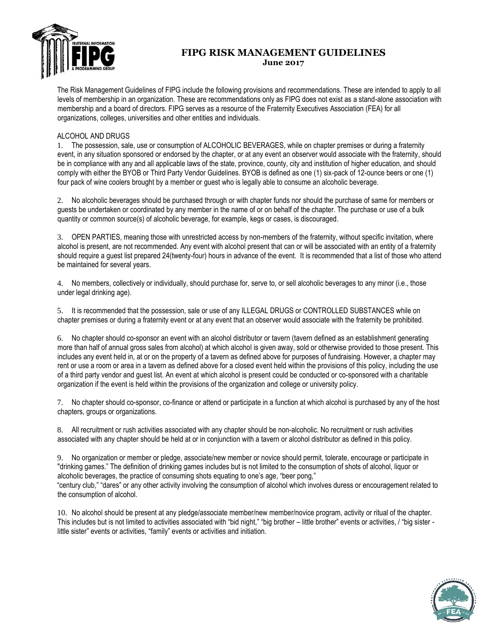

# **FIPG RISK MANAGEMENT GUIDELINES June 2017**

The Risk Management Guidelines of FIPG include the following provisions and recommendations. These are intended to apply to all levels of membership in an organization. These are recommendations only as FIPG does not exist as a stand-alone association with membership and a board of directors. FIPG serves as a resource of the Fraternity Executives Association (FEA) for all organizations, colleges, universities and other entities and individuals.

## ALCOHOL AND DRUGS

1. The possession, sale, use or consumption of ALCOHOLIC BEVERAGES, while on chapter premises or during a fraternity event, in any situation sponsored or endorsed by the chapter, or at any event an observer would associate with the fraternity, should be in compliance with any and all applicable laws of the state, province, county, city and institution of higher education, and should comply with either the BYOB or Third Party Vendor Guidelines. BYOB is defined as one (1) six-pack of 12-ounce beers or one (1) four pack of wine coolers brought by a member or guest who is legally able to consume an alcoholic beverage.

2. No alcoholic beverages should be purchased through or with chapter funds nor should the purchase of same for members or guests be undertaken or coordinated by any member in the name of or on behalf of the chapter. The purchase or use of a bulk quantity or common source(s) of alcoholic beverage, for example, kegs or cases, is discouraged.

3. OPEN PARTIES, meaning those with unrestricted access by non-members of the fraternity, without specific invitation, where alcohol is present, are not recommended. Any event with alcohol present that can or will be associated with an entity of a fraternity should require a guest list prepared 24(twenty-four) hours in advance of the event. It is recommended that a list of those who attend be maintained for several years.

4. No members, collectively or individually, should purchase for, serve to, or sell alcoholic beverages to any minor (i.e., those under legal drinking age).

5. It is recommended that the possession, sale or use of any ILLEGAL DRUGS or CONTROLLED SUBSTANCES while on chapter premises or during a fraternity event or at any event that an observer would associate with the fraternity be prohibited.

6. No chapter should co-sponsor an event with an alcohol distributor or tavern (tavern defined as an establishment generating more than half of annual gross sales from alcohol) at which alcohol is given away, sold or otherwise provided to those present. This includes any event held in, at or on the property of a tavern as defined above for purposes of fundraising. However, a chapter may rent or use a room or area in a tavern as defined above for a closed event held within the provisions of this policy, including the use of a third party vendor and guest list. An event at which alcohol is present could be conducted or co-sponsored with a charitable organization if the event is held within the provisions of the organization and college or university policy.

7. No chapter should co-sponsor, co-finance or attend or participate in a function at which alcohol is purchased by any of the host chapters, groups or organizations.

8. All recruitment or rush activities associated with any chapter should be non-alcoholic. No recruitment or rush activities associated with any chapter should be held at or in conjunction with a tavern or alcohol distributor as defined in this policy.

9. No organization or member or pledge, associate/new member or novice should permit, tolerate, encourage or participate in "drinking games." The definition of drinking games includes but is not limited to the consumption of shots of alcohol, liquor or alcoholic beverages, the practice of consuming shots equating to one's age, "beer pong," "century club," "dares" or any other activity involving the consumption of alcohol which involves duress or encouragement related to the consumption of alcohol.

10. No alcohol should be present at any pledge/associate member/new member/novice program, activity or ritual of the chapter. This includes but is not limited to activities associated with "bid night," "big brother – little brother" events or activities, / "big sister little sister" events or activities, "family" events or activities and initiation.